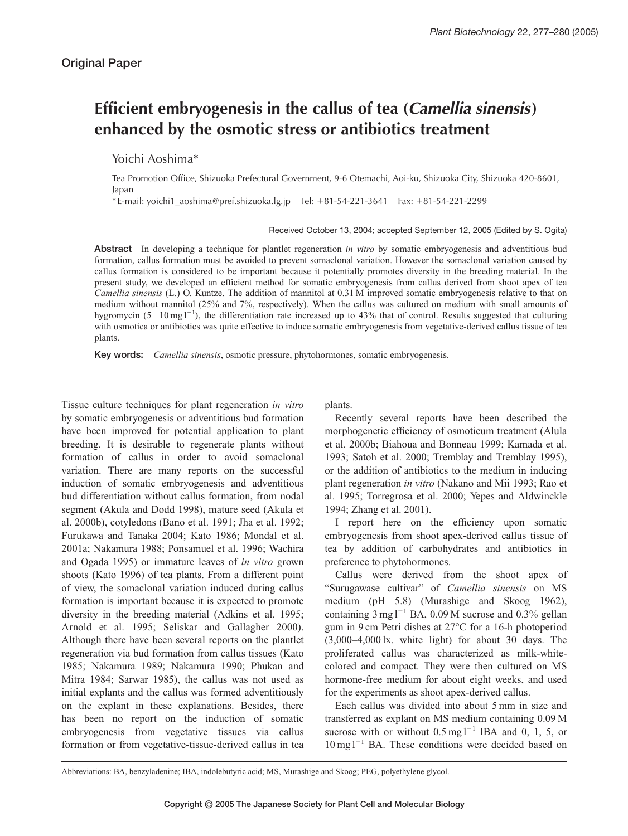## **Efficient embryogenesis in the callus of tea (***Camellia sinensis***) enhanced by the osmotic stress or antibiotics treatment**

Yoichi Aoshima\*

Tea Promotion Office, Shizuoka Prefectural Government, 9-6 Otemachi, Aoi-ku, Shizuoka City, Shizuoka 420-8601, Japan

\* E-mail: yoichi1\_aoshima@pref.shizuoka.lg.jp Tel: -81-54-221-3641 Fax: -81-54-221-2299

Received October 13, 2004; accepted September 12, 2005 (Edited by S. Ogita)

**Abstract** In developing a technique for plantlet regeneration *in vitro* by somatic embryogenesis and adventitious bud formation, callus formation must be avoided to prevent somaclonal variation. However the somaclonal variation caused by callus formation is considered to be important because it potentially promotes diversity in the breeding material. In the present study, we developed an efficient method for somatic embryogenesis from callus derived from shoot apex of tea *Camellia sinensis* (L.) O. Kuntze. The addition of mannitol at 0.31 M improved somatic embryogenesis relative to that on medium without mannitol (25% and 7%, respectively). When the callus was cultured on medium with small amounts of hygromycin  $(5-10 \text{ mg l}^{-1})$ , the differentiation rate increased up to 43% that of control. Results suggested that culturing with osmotica or antibiotics was quite effective to induce somatic embryogenesis from vegetative-derived callus tissue of tea plants.

**Key words:** *Camellia sinensis*, osmotic pressure, phytohormones, somatic embryogenesis.

Tissue culture techniques for plant regeneration *in vitro* by somatic embryogenesis or adventitious bud formation have been improved for potential application to plant breeding. It is desirable to regenerate plants without formation of callus in order to avoid somaclonal variation. There are many reports on the successful induction of somatic embryogenesis and adventitious bud differentiation without callus formation, from nodal segment (Akula and Dodd 1998), mature seed (Akula et al. 2000b), cotyledons (Bano et al. 1991; Jha et al. 1992; Furukawa and Tanaka 2004; Kato 1986; Mondal et al. 2001a; Nakamura 1988; Ponsamuel et al. 1996; Wachira and Ogada 1995) or immature leaves of *in vitro* grown shoots (Kato 1996) of tea plants. From a different point of view, the somaclonal variation induced during callus formation is important because it is expected to promote diversity in the breeding material (Adkins et al. 1995; Arnold et al. 1995; Seliskar and Gallagher 2000). Although there have been several reports on the plantlet regeneration via bud formation from callus tissues (Kato 1985; Nakamura 1989; Nakamura 1990; Phukan and Mitra 1984; Sarwar 1985), the callus was not used as initial explants and the callus was formed adventitiously on the explant in these explanations. Besides, there has been no report on the induction of somatic embryogenesis from vegetative tissues via callus formation or from vegetative-tissue-derived callus in tea plants.

Recently several reports have been described the morphogenetic efficiency of osmoticum treatment (Alula et al. 2000b; Biahoua and Bonneau 1999; Kamada et al. 1993; Satoh et al. 2000; Tremblay and Tremblay 1995), or the addition of antibiotics to the medium in inducing plant regeneration *in vitro* (Nakano and Mii 1993; Rao et al. 1995; Torregrosa et al. 2000; Yepes and Aldwinckle 1994; Zhang et al. 2001).

I report here on the efficiency upon somatic embryogenesis from shoot apex-derived callus tissue of tea by addition of carbohydrates and antibiotics in preference to phytohormones.

Callus were derived from the shoot apex of "Surugawase cultivar" of *Camellia sinensis* on MS medium (pH 5.8) (Murashige and Skoog 1962), containing  $3 \text{ mg}$ <sup>1-1</sup> BA, 0.09 M sucrose and 0.3% gellan gum in 9 cm Petri dishes at 27°C for a 16-h photoperiod (3,000–4,000 lx. white light) for about 30 days. The proliferated callus was characterized as milk-whitecolored and compact. They were then cultured on MS hormone-free medium for about eight weeks, and used for the experiments as shoot apex-derived callus.

Each callus was divided into about 5 mm in size and transferred as explant on MS medium containing 0.09 M sucrose with or without  $0.5 \text{ mg l}^{-1}$  IBA and  $0, 1, 5$ , or  $10 \text{ mg}$ <sup>1-1</sup> BA. These conditions were decided based on

Abbreviations: BA, benzyladenine; IBA, indolebutyric acid; MS, Murashige and Skoog; PEG, polyethylene glycol.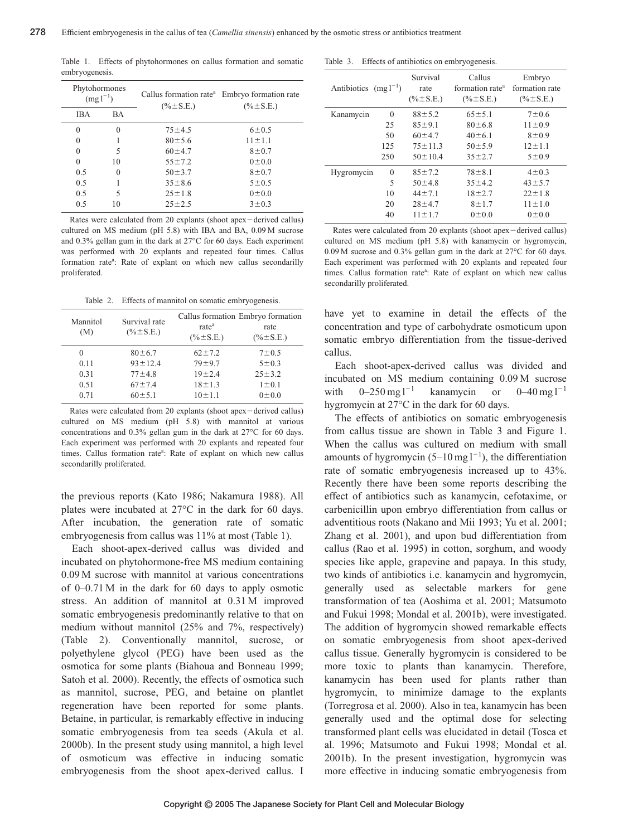Table 1. Effects of phytohormones on callus formation and somatic embryogenesis.

| Phytohormones<br>$(mg1^{-1})$ |           | $(\% \pm S.E.)$ | Callus formation rate <sup>a</sup> Embryo formation rate<br>$(\% \pm S.E.)$ |  |
|-------------------------------|-----------|-----------------|-----------------------------------------------------------------------------|--|
| <b>IBA</b>                    | <b>BA</b> |                 |                                                                             |  |
| $\theta$                      | $\Omega$  | $75 + 4.5$      | $6 \pm 0.5$                                                                 |  |
| $\Omega$                      |           | $80 \pm 5.6$    | $11 \pm 1.1$                                                                |  |
| $\Omega$                      | 5         | $60 + 4.7$      | $8 + 0.7$                                                                   |  |
| $\theta$                      | 10        | $55 \pm 7.2$    | 0±0.0                                                                       |  |
| 0.5                           | 0         | $50 \pm 3.7$    | $8 + 0.7$                                                                   |  |
| 0.5                           |           | $35 \pm 8.6$    | $5 \pm 0.5$                                                                 |  |
| 0.5                           | 5         | $25 \pm 1.8$    | 0±0.0                                                                       |  |
| 0.5                           | 10        | $25 + 2.5$      | $3 \pm 0.3$                                                                 |  |

Rates were calculated from 20 explants (shoot apex-derived callus) cultured on MS medium (pH 5.8) with IBA and BA, 0.09 M sucrose and 0.3% gellan gum in the dark at 27°C for 60 days. Each experiment was performed with 20 explants and repeated four times. Callus formation rate<sup>a</sup>: Rate of explant on which new callus secondarilly proliferated.

Table 2. Effects of mannitol on somatic embryogenesis.

| Mannitol<br>(M) | Survival rate<br>$(\% \pm S.E.)$ | rate <sup>a</sup><br>$(\% \pm S.E.)$ | Callus formation Embryo formation<br>rate<br>$(\% \pm S.E.)$ |
|-----------------|----------------------------------|--------------------------------------|--------------------------------------------------------------|
| 0               | $80 \pm 6.7$                     | $62 + 7.2$                           | $7 \pm 0.5$                                                  |
| 0.11            | $93 \pm 12.4$                    | $79 + 9.7$                           | $5 \pm 0.3$                                                  |
| 0.31            | $77 + 4.8$                       | $19 + 2.4$                           | $25 \pm 3.2$                                                 |
| 0.51<br>0.71    | $67 + 7.4$<br>$60 \pm 5.1$       | $18 \pm 1.3$<br>$10 + 1.1$           | $1 \pm 0.1$<br>0 ± 0.0                                       |

Rates were calculated from 20 explants (shoot apex-derived callus) cultured on MS medium (pH 5.8) with mannitol at various concentrations and 0.3% gellan gum in the dark at 27°C for 60 days. Each experiment was performed with 20 explants and repeated four times. Callus formation rate<sup>a</sup>: Rate of explant on which new callus secondarilly proliferated.

the previous reports (Kato 1986; Nakamura 1988). All plates were incubated at 27°C in the dark for 60 days. After incubation, the generation rate of somatic embryogenesis from callus was 11% at most (Table 1).

Each shoot-apex-derived callus was divided and incubated on phytohormone-free MS medium containing 0.09 M sucrose with mannitol at various concentrations of 0–0.71 M in the dark for 60 days to apply osmotic stress. An addition of mannitol at 0.31 M improved somatic embryogenesis predominantly relative to that on medium without mannitol (25% and 7%, respectively) (Table 2). Conventionally mannitol, sucrose, or polyethylene glycol (PEG) have been used as the osmotica for some plants (Biahoua and Bonneau 1999; Satoh et al. 2000). Recently, the effects of osmotica such as mannitol, sucrose, PEG, and betaine on plantlet regeneration have been reported for some plants. Betaine, in particular, is remarkably effective in inducing somatic embryogenesis from tea seeds (Akula et al. 2000b). In the present study using mannitol, a high level of osmoticum was effective in inducing somatic embryogenesis from the shoot apex-derived callus. I

Table 3. Effects of antibiotics on embryogenesis.

| Antibiotics $(mg1^{-1})$ |          | Survival<br>rate<br>$(\% \pm S.E.)$ | Callus<br>formation rate <sup>a</sup><br>$(\% \pm S.E.)$ | Embryo<br>formation rate<br>$(\% \pm S.E.)$ |
|--------------------------|----------|-------------------------------------|----------------------------------------------------------|---------------------------------------------|
| Kanamycin                | $\theta$ | $88 + 5.2$                          | $65 \pm 5.1$                                             | $7 + 0.6$                                   |
|                          | 25       | 85±9.1                              | $80 \pm 6.8$                                             | $11 \pm 0.9$                                |
|                          | 50       | 60±4.7                              | $40 \pm 6.1$                                             | $8 + 0.9$                                   |
|                          | 125      | $75 \pm 11.3$                       | $50 \pm 5.9$                                             | $12 \pm 1.1$                                |
|                          | 250      | $50 \pm 10.4$                       | $35 + 2.7$                                               | $5 \pm 0.9$                                 |
| Hygromycin               | $\Omega$ | $85 + 7.2$                          | $78 \pm 8.1$                                             | $4 \pm 0.3$                                 |
|                          | 5        | $50 \pm 4.8$                        | $35 \pm 4.2$                                             | $43 + 5.7$                                  |
|                          | 10       | $44 \pm 7.1$                        | $18 + 2.7$                                               | $22 \pm 1.8$                                |
|                          | 20       | $28 + 4.7$                          | $8 + 1.7$                                                | $11 \pm 1.0$                                |
|                          | 40       | $11 \pm 1.7$                        | 0±0.0                                                    | 0±0.0                                       |

Rates were calculated from 20 explants (shoot apex-derived callus) cultured on MS medium (pH 5.8) with kanamycin or hygromycin, 0.09 M sucrose and 0.3% gellan gum in the dark at 27°C for 60 days. Each experiment was performed with 20 explants and repeated four times. Callus formation rate<sup>a</sup>: Rate of explant on which new callus secondarilly proliferated.

have yet to examine in detail the effects of the concentration and type of carbohydrate osmoticum upon somatic embryo differentiation from the tissue-derived callus.

Each shoot-apex-derived callus was divided and incubated on MS medium containing 0.09 M sucrose with  $0-250$  mg l<sup>-1</sup> kanamycin or  $0-40$  mg l<sup>-1</sup> hygromycin at 27°C in the dark for 60 days.

The effects of antibiotics on somatic embryogenesis from callus tissue are shown in Table 3 and Figure 1. When the callus was cultured on medium with small amounts of hygromycin  $(5-10 \text{ mg l}^{-1})$ , the differentiation rate of somatic embryogenesis increased up to 43%. Recently there have been some reports describing the effect of antibiotics such as kanamycin, cefotaxime, or carbenicillin upon embryo differentiation from callus or adventitious roots (Nakano and Mii 1993; Yu et al. 2001; Zhang et al. 2001), and upon bud differentiation from callus (Rao et al. 1995) in cotton, sorghum, and woody species like apple, grapevine and papaya. In this study, two kinds of antibiotics i.e. kanamycin and hygromycin, generally used as selectable markers for gene transformation of tea (Aoshima et al. 2001; Matsumoto and Fukui 1998; Mondal et al. 2001b), were investigated. The addition of hygromycin showed remarkable effects on somatic embryogenesis from shoot apex-derived callus tissue. Generally hygromycin is considered to be more toxic to plants than kanamycin. Therefore, kanamycin has been used for plants rather than hygromycin, to minimize damage to the explants (Torregrosa et al. 2000). Also in tea, kanamycin has been generally used and the optimal dose for selecting transformed plant cells was elucidated in detail (Tosca et al. 1996; Matsumoto and Fukui 1998; Mondal et al. 2001b). In the present investigation, hygromycin was more effective in inducing somatic embryogenesis from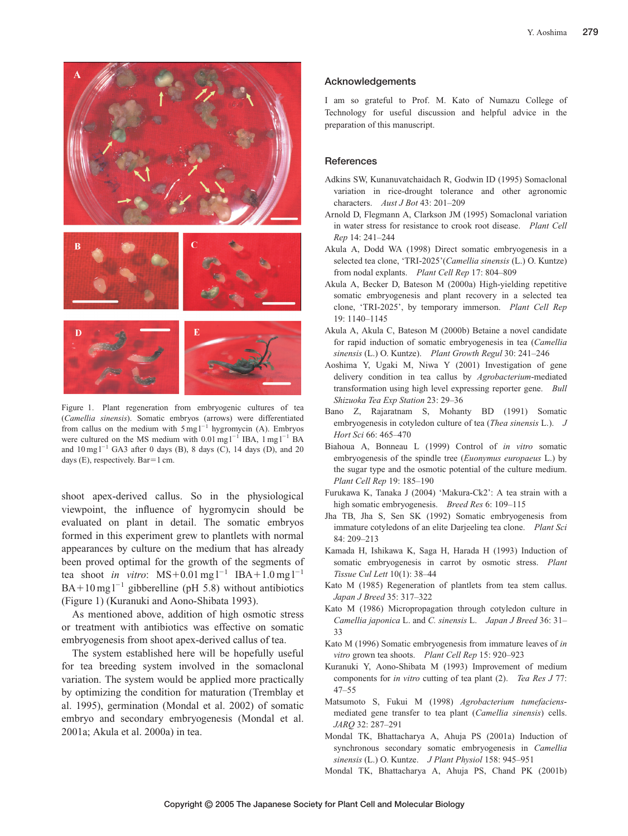

Figure 1. Plant regeneration from embryogenic cultures of tea (*Camellia sinensis*). Somatic embryos (arrows) were differentiated from callus on the medium with  $5 \text{ mg} 1^{-1}$  hygromycin (A). Embryos were cultured on the MS medium with  $0.01 \text{ mg l}^{-1}$  IBA,  $1 \text{ mg l}^{-1}$  BA and  $10 \text{ mg}$  $1^{-1}$  GA3 after 0 days (B), 8 days (C), 14 days (D), and 20 days (E), respectively. Bar=1 cm.

shoot apex-derived callus. So in the physiological viewpoint, the influence of hygromycin should be evaluated on plant in detail. The somatic embryos formed in this experiment grew to plantlets with normal appearances by culture on the medium that has already been proved optimal for the growth of the segments of tea shoot *in vitro*:  $MS + 0.01$  mg  $l^{-1}$  IBA + 1.0 mg  $l^{-1}$  $BA+10$  mg  $1^{-1}$  gibberelline (pH 5.8) without antibiotics (Figure 1) (Kuranuki and Aono-Shibata 1993).

As mentioned above, addition of high osmotic stress or treatment with antibiotics was effective on somatic embryogenesis from shoot apex-derived callus of tea.

The system established here will be hopefully useful for tea breeding system involved in the somaclonal variation. The system would be applied more practically by optimizing the condition for maturation (Tremblay et al. 1995), germination (Mondal et al. 2002) of somatic embryo and secondary embryogenesis (Mondal et al. 2001a; Akula et al. 2000a) in tea.

## **Acknowledgements**

I am so grateful to Prof. M. Kato of Numazu College of Technology for useful discussion and helpful advice in the preparation of this manuscript.

## **References**

- Adkins SW, Kunanuvatchaidach R, Godwin ID (1995) Somaclonal variation in rice-drought tolerance and other agronomic characters. *Aust J Bot* 43: 201–209
- Arnold D, Flegmann A, Clarkson JM (1995) Somaclonal variation in water stress for resistance to crook root disease. *Plant Cell Rep* 14: 241–244
- Akula A, Dodd WA (1998) Direct somatic embryogenesis in a selected tea clone, 'TRI-2025'(*Camellia sinensis* (L.) O. Kuntze) from nodal explants. *Plant Cell Rep* 17: 804–809
- Akula A, Becker D, Bateson M (2000a) High-yielding repetitive somatic embryogenesis and plant recovery in a selected tea clone, 'TRI-2025', by temporary immerson. *Plant Cell Rep* 19: 1140–1145
- Akula A, Akula C, Bateson M (2000b) Betaine a novel candidate for rapid induction of somatic embryogenesis in tea (*Camellia sinensis* (L.) O. Kuntze). *Plant Growth Regul* 30: 241–246
- Aoshima Y, Ugaki M, Niwa Y (2001) Investigation of gene delivery condition in tea callus by *Agrobacterium*-mediated transformation using high level expressing reporter gene. *Bull Shizuoka Tea Exp Station* 23: 29–36
- Bano Z, Rajaratnam S, Mohanty BD (1991) Somatic embryogenesis in cotyledon culture of tea (*Thea sinensis* L.). *J Hort Sci* 66: 465–470
- Biahoua A, Bonneau L (1999) Control of *in vitro* somatic embryogenesis of the spindle tree (*Euonymus europaeus* L.) by the sugar type and the osmotic potential of the culture medium. *Plant Cell Rep* 19: 185–190
- Furukawa K, Tanaka J (2004) 'Makura-Ck2': A tea strain with a high somatic embryogenesis. *Breed Res* 6: 109–115
- Jha TB, Jha S, Sen SK (1992) Somatic embryogenesis from immature cotyledons of an elite Darjeeling tea clone. *Plant Sci* 84: 209–213
- Kamada H, Ishikawa K, Saga H, Harada H (1993) Induction of somatic embryogenesis in carrot by osmotic stress. *Plant Tissue Cul Lett* 10(1): 38–44
- Kato M (1985) Regeneration of plantlets from tea stem callus. *Japan J Breed* 35: 317–322
- Kato M (1986) Micropropagation through cotyledon culture in *Camellia japonica* L. and *C. sinensis* L. *Japan J Breed* 36: 31– 33
- Kato M (1996) Somatic embryogenesis from immature leaves of *in vitro* grown tea shoots. *Plant Cell Rep* 15: 920–923
- Kuranuki Y, Aono-Shibata M (1993) Improvement of medium components for *in vitro* cutting of tea plant (2). *Tea Res J* 77: 47–55
- Matsumoto S, Fukui M (1998) *Agrobacterium tumefaciens*mediated gene transfer to tea plant (*Camellia sinensis*) cells. *JARQ* 32: 287–291
- Mondal TK, Bhattacharya A, Ahuja PS (2001a) Induction of synchronous secondary somatic embryogenesis in *Camellia sinensis* (L.) O. Kuntze. *J Plant Physiol* 158: 945–951
- Mondal TK, Bhattacharya A, Ahuja PS, Chand PK (2001b)